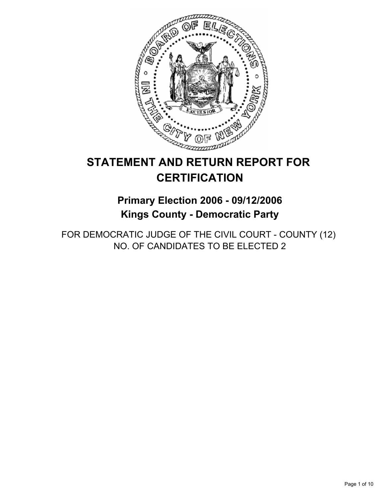

# **STATEMENT AND RETURN REPORT FOR CERTIFICATION**

## **Primary Election 2006 - 09/12/2006 Kings County - Democratic Party**

FOR DEMOCRATIC JUDGE OF THE CIVIL COURT - COUNTY (12) NO. OF CANDIDATES TO BE ELECTED 2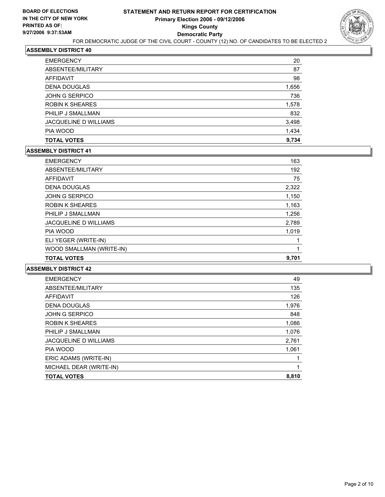

| <b>TOTAL VOTES</b>           | 9.734 |
|------------------------------|-------|
| PIA WOOD                     | 1,434 |
| <b>JACQUELINE D WILLIAMS</b> | 3,498 |
| PHILIP J SMALLMAN            | 832   |
| ROBIN K SHEARES              | 1,578 |
| JOHN G SERPICO               | 736   |
| <b>DENA DOUGLAS</b>          | 1,656 |
| <b>AFFIDAVIT</b>             | 98    |
| ABSENTEE/MILITARY            | 87    |
| <b>EMERGENCY</b>             | 20    |

#### **ASSEMBLY DISTRICT 41**

| <b>TOTAL VOTES</b>           | 9,701 |
|------------------------------|-------|
| WOOD SMALLMAN (WRITE-IN)     |       |
| ELI YEGER (WRITE-IN)         |       |
| PIA WOOD                     | 1,019 |
| <b>JACQUELINE D WILLIAMS</b> | 2,789 |
| PHILIP J SMALLMAN            | 1,256 |
| <b>ROBIN K SHEARES</b>       | 1,163 |
| <b>JOHN G SERPICO</b>        | 1,150 |
| <b>DENA DOUGLAS</b>          | 2,322 |
| <b>AFFIDAVIT</b>             | 75    |
| ABSENTEE/MILITARY            | 192   |
| <b>EMERGENCY</b>             | 163   |

| 49    |
|-------|
| 135   |
| 126   |
| 1,976 |
| 848   |
| 1,086 |
| 1,076 |
| 2,761 |
| 1,061 |
|       |
|       |
| 8,810 |
|       |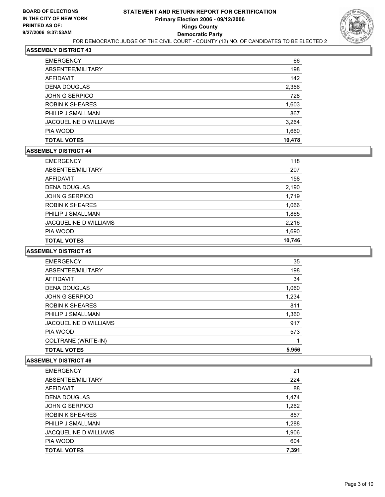

| <b>TOTAL VOTES</b>           | 10,478 |
|------------------------------|--------|
| PIA WOOD                     | 1,660  |
| <b>JACQUELINE D WILLIAMS</b> | 3,264  |
| PHILIP J SMALLMAN            | 867    |
| <b>ROBIN K SHEARES</b>       | 1,603  |
| <b>JOHN G SERPICO</b>        | 728    |
| <b>DENA DOUGLAS</b>          | 2,356  |
| <b>AFFIDAVIT</b>             | 142    |
| ABSENTEE/MILITARY            | 198    |
| <b>EMERGENCY</b>             | 66     |

#### **ASSEMBLY DISTRICT 44**

| <b>EMERGENCY</b>       | 118    |
|------------------------|--------|
| ABSENTEE/MILITARY      | 207    |
| AFFIDAVIT              | 158    |
| <b>DENA DOUGLAS</b>    | 2,190  |
| <b>JOHN G SERPICO</b>  | 1,719  |
| <b>ROBIN K SHEARES</b> | 1,066  |
| PHILIP J SMALLMAN      | 1,865  |
| JACQUELINE D WILLIAMS  | 2,216  |
| PIA WOOD               | 1,690  |
| <b>TOTAL VOTES</b>     | 10,746 |

#### **ASSEMBLY DISTRICT 45**

| <b>EMERGENCY</b>             | 35    |
|------------------------------|-------|
| ABSENTEE/MILITARY            | 198   |
| AFFIDAVIT                    | 34    |
| <b>DENA DOUGLAS</b>          | 1,060 |
| <b>JOHN G SERPICO</b>        | 1,234 |
| <b>ROBIN K SHEARES</b>       | 811   |
| PHILIP J SMALLMAN            | 1,360 |
| <b>JACQUELINE D WILLIAMS</b> | 917   |
| PIA WOOD                     | 573   |
| COLTRANE (WRITE-IN)          |       |
| <b>TOTAL VOTES</b>           | 5,956 |

| <b>EMERGENCY</b>             | 21    |
|------------------------------|-------|
| ABSENTEE/MILITARY            | 224   |
| AFFIDAVIT                    | 88    |
| <b>DENA DOUGLAS</b>          | 1,474 |
| JOHN G SERPICO               | 1,262 |
| <b>ROBIN K SHEARES</b>       | 857   |
| PHILIP J SMALLMAN            | 1,288 |
| <b>JACQUELINE D WILLIAMS</b> | 1,906 |
| PIA WOOD                     | 604   |
| <b>TOTAL VOTES</b>           | 7,391 |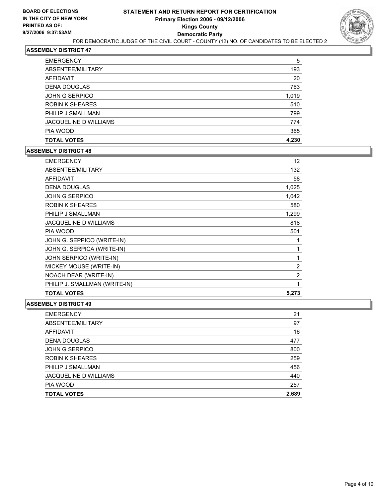

| <b>TOTAL VOTES</b>           | 4,230 |
|------------------------------|-------|
| PIA WOOD                     | 365   |
| <b>JACQUELINE D WILLIAMS</b> | 774   |
| PHILIP J SMALLMAN            | 799   |
| <b>ROBIN K SHEARES</b>       | 510   |
| <b>JOHN G SERPICO</b>        | 1,019 |
| <b>DENA DOUGLAS</b>          | 763   |
| <b>AFFIDAVIT</b>             | 20    |
| ABSENTEE/MILITARY            | 193   |
| <b>EMERGENCY</b>             | 5     |

#### **ASSEMBLY DISTRICT 48**

| <b>EMERGENCY</b>              | 12             |
|-------------------------------|----------------|
| ABSENTEE/MILITARY             | 132            |
| <b>AFFIDAVIT</b>              | 58             |
| <b>DENA DOUGLAS</b>           | 1,025          |
| <b>JOHN G SERPICO</b>         | 1,042          |
| <b>ROBIN K SHEARES</b>        | 580            |
| PHILIP J SMALLMAN             | 1,299          |
| <b>JACQUELINE D WILLIAMS</b>  | 818            |
| PIA WOOD                      | 501            |
| JOHN G. SEPPICO (WRITE-IN)    |                |
| JOHN G. SERPICA (WRITE-IN)    |                |
| JOHN SERPICO (WRITE-IN)       |                |
| MICKEY MOUSE (WRITE-IN)       | 2              |
| NOACH DEAR (WRITE-IN)         | $\overline{2}$ |
| PHILIP J. SMALLMAN (WRITE-IN) |                |
| <b>TOTAL VOTES</b>            | 5,273          |

| <b>EMERGENCY</b>       | 21    |
|------------------------|-------|
| ABSENTEE/MILITARY      | 97    |
| AFFIDAVIT              | 16    |
| <b>DENA DOUGLAS</b>    | 477   |
| JOHN G SERPICO         | 800   |
| <b>ROBIN K SHEARES</b> | 259   |
| PHILIP J SMALLMAN      | 456   |
| JACQUELINE D WILLIAMS  | 440   |
| PIA WOOD               | 257   |
| <b>TOTAL VOTES</b>     | 2,689 |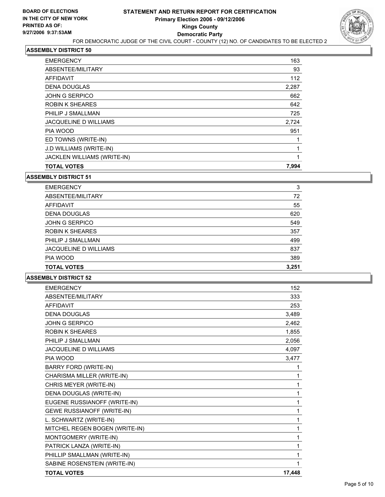

| 163   |
|-------|
| 93    |
| 112   |
| 2,287 |
| 662   |
| 642   |
| 725   |
| 2,724 |
| 951   |
|       |
|       |
|       |
| 7,994 |
|       |

| <b>EMERGENCY</b>             | 3     |
|------------------------------|-------|
| ABSENTEE/MILITARY            | 72    |
| AFFIDAVIT                    | 55    |
| <b>DENA DOUGLAS</b>          | 620   |
| <b>JOHN G SERPICO</b>        | 549   |
| <b>ROBIN K SHEARES</b>       | 357   |
| PHILIP J SMALLMAN            | 499   |
| <b>JACQUELINE D WILLIAMS</b> | 837   |
| PIA WOOD                     | 389   |
| <b>TOTAL VOTES</b>           | 3,251 |

| <b>TOTAL VOTES</b>                | 17,448 |
|-----------------------------------|--------|
| SABINE ROSENSTEIN (WRITE-IN)      |        |
| PHILLIP SMALLMAN (WRITE-IN)       | 1      |
| PATRICK LANZA (WRITE-IN)          | 1      |
| MONTGOMERY (WRITE-IN)             | 1      |
| MITCHEL REGEN BOGEN (WRITE-IN)    | 1      |
| L. SCHWARTZ (WRITE-IN)            | 1      |
| <b>GEWE RUSSIANOFF (WRITE-IN)</b> | 1      |
| EUGENE RUSSIANOFF (WRITE-IN)      | 1      |
| DENA DOUGLAS (WRITE-IN)           | 1      |
| CHRIS MEYER (WRITE-IN)            | 1      |
| CHARISMA MILLER (WRITE-IN)        |        |
| <b>BARRY FORD (WRITE-IN)</b>      | 1      |
| PIA WOOD                          | 3,477  |
| JACQUELINE D WILLIAMS             | 4,097  |
| PHILIP J SMALL MAN                | 2,056  |
| <b>ROBIN K SHEARES</b>            | 1,855  |
| <b>JOHN G SERPICO</b>             | 2,462  |
| <b>DENA DOUGLAS</b>               | 3,489  |
| <b>AFFIDAVIT</b>                  | 253    |
| <b>ABSENTEE/MILITARY</b>          | 333    |
| <b>FMFRGFNCY</b>                  | 152    |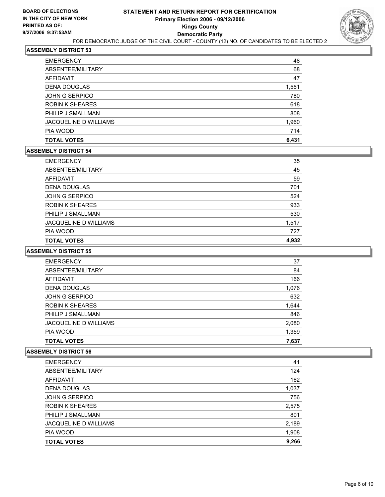

| <b>TOTAL VOTES</b>           | 6,431 |
|------------------------------|-------|
| PIA WOOD                     | 714   |
| <b>JACQUELINE D WILLIAMS</b> | 1,960 |
| PHILIP J SMALLMAN            | 808   |
| ROBIN K SHEARES              | 618   |
| <b>JOHN G SERPICO</b>        | 780   |
| <b>DENA DOUGLAS</b>          | 1,551 |
| <b>AFFIDAVIT</b>             | 47    |
| ABSENTEE/MILITARY            | 68    |
| <b>EMERGENCY</b>             | 48    |

#### **ASSEMBLY DISTRICT 54**

| <b>EMERGENCY</b>             | 35    |
|------------------------------|-------|
| ABSENTEE/MILITARY            | 45    |
| AFFIDAVIT                    | 59    |
| <b>DENA DOUGLAS</b>          | 701   |
| <b>JOHN G SERPICO</b>        | 524   |
| <b>ROBIN K SHEARES</b>       | 933   |
| PHILIP J SMALLMAN            | 530   |
| <b>JACQUELINE D WILLIAMS</b> | 1,517 |
| PIA WOOD                     | 727   |
| <b>TOTAL VOTES</b>           | 4,932 |

## **ASSEMBLY DISTRICT 55**

| <b>EMERGENCY</b>             | 37    |  |
|------------------------------|-------|--|
| ABSENTEE/MILITARY            | 84    |  |
| AFFIDAVIT                    | 166   |  |
| <b>DENA DOUGLAS</b>          | 1,076 |  |
| <b>JOHN G SERPICO</b>        | 632   |  |
| <b>ROBIN K SHEARES</b>       | 1,644 |  |
| PHILIP J SMALLMAN            | 846   |  |
| <b>JACQUELINE D WILLIAMS</b> | 2,080 |  |
| PIA WOOD                     | 1,359 |  |
| <b>TOTAL VOTES</b>           | 7,637 |  |

| <b>EMERGENCY</b>             | 41    |
|------------------------------|-------|
| ABSENTEE/MILITARY            | 124   |
| <b>AFFIDAVIT</b>             | 162   |
| <b>DENA DOUGLAS</b>          | 1,037 |
| <b>JOHN G SERPICO</b>        | 756   |
| <b>ROBIN K SHEARES</b>       | 2,575 |
| PHILIP J SMALLMAN            | 801   |
| <b>JACQUELINE D WILLIAMS</b> | 2,189 |
| PIA WOOD                     | 1,908 |
| <b>TOTAL VOTES</b>           | 9,266 |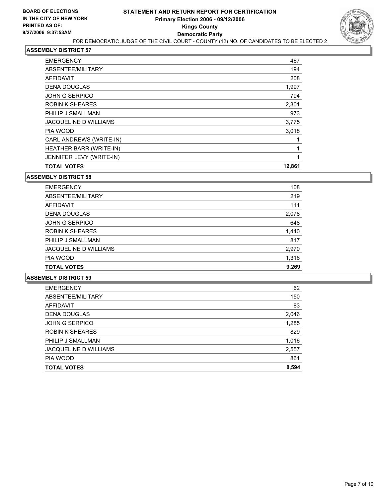

| <b>EMERGENCY</b>             | 467    |
|------------------------------|--------|
| ABSENTEE/MILITARY            | 194    |
| <b>AFFIDAVIT</b>             | 208    |
| <b>DENA DOUGLAS</b>          | 1,997  |
| <b>JOHN G SERPICO</b>        | 794    |
| <b>ROBIN K SHEARES</b>       | 2,301  |
| PHILIP J SMALLMAN            | 973    |
| <b>JACQUELINE D WILLIAMS</b> | 3,775  |
| PIA WOOD                     | 3,018  |
| CARL ANDREWS (WRITE-IN)      |        |
| HEATHER BARR (WRITE-IN)      |        |
| JENNIFER LEVY (WRITE-IN)     |        |
| <b>TOTAL VOTES</b>           | 12,861 |

| <b>EMERGENCY</b>             | 108   |
|------------------------------|-------|
| ABSENTEE/MILITARY            | 219   |
| AFFIDAVIT                    | 111   |
| <b>DENA DOUGLAS</b>          | 2,078 |
| JOHN G SERPICO               | 648   |
| <b>ROBIN K SHEARES</b>       | 1,440 |
| PHILIP J SMALLMAN            | 817   |
| <b>JACQUELINE D WILLIAMS</b> | 2,970 |
| PIA WOOD                     | 1,316 |
| <b>TOTAL VOTES</b>           | 9,269 |

| <b>EMERGENCY</b>             | 62    |
|------------------------------|-------|
| ABSENTEE/MILITARY            | 150   |
| AFFIDAVIT                    | 83    |
| <b>DENA DOUGLAS</b>          | 2,046 |
| <b>JOHN G SERPICO</b>        | 1,285 |
| <b>ROBIN K SHEARES</b>       | 829   |
| PHILIP J SMALLMAN            | 1,016 |
| <b>JACQUELINE D WILLIAMS</b> | 2,557 |
| PIA WOOD                     | 861   |
| <b>TOTAL VOTES</b>           | 8,594 |
|                              |       |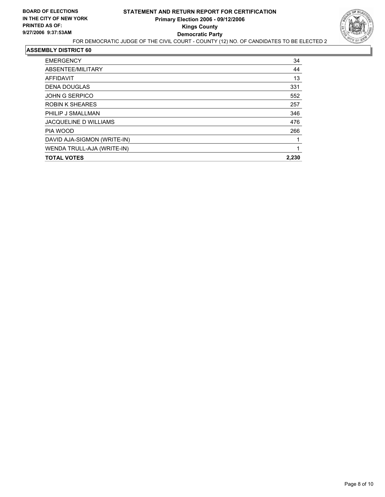

| <b>EMERGENCY</b>            | 34    |
|-----------------------------|-------|
| ABSENTEE/MILITARY           | 44    |
| AFFIDAVIT                   | 13    |
| <b>DENA DOUGLAS</b>         | 331   |
| <b>JOHN G SERPICO</b>       | 552   |
| <b>ROBIN K SHEARES</b>      | 257   |
| PHILIP J SMALLMAN           | 346   |
| JACQUELINE D WILLIAMS       | 476   |
| PIA WOOD                    | 266   |
| DAVID AJA-SIGMON (WRITE-IN) |       |
| WENDA TRULL-AJA (WRITE-IN)  |       |
| <b>TOTAL VOTES</b>          | 2,230 |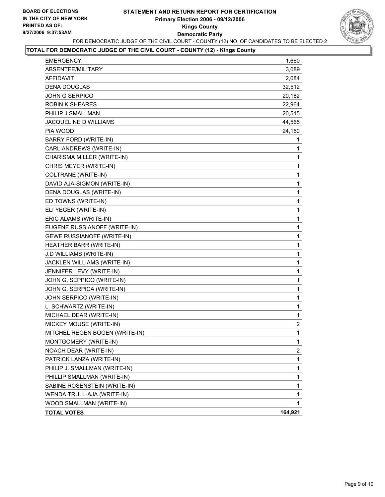## **STATEMENT AND RETURN REPORT FOR CERTIFICATION Primary Election 2006 - 09/12/2006 Kings County Democratic Party** FOR DEMOCRATIC JUDGE OF THE CIVIL COURT - COUNTY (12) NO. OF CANDIDATES TO BE ELECTED 2



## **TOTAL FOR DEMOCRATIC JUDGE OF THE CIVIL COURT - COUNTY (12) - Kings County**

| <b>EMERGENCY</b>                  | 1,660            |
|-----------------------------------|------------------|
| ABSENTEE/MILITARY                 | 3,089            |
| <b>AFFIDAVIT</b>                  | 2,084            |
| <b>DENA DOUGLAS</b>               | 32,512           |
| <b>JOHN G SERPICO</b>             | 20,182           |
| <b>ROBIN K SHEARES</b>            | 22,964           |
| PHILIP J SMALLMAN                 | 20,515           |
| JACQUELINE D WILLIAMS             | 44,565           |
| PIA WOOD                          | 24,150           |
| BARRY FORD (WRITE-IN)             | 1                |
| CARL ANDREWS (WRITE-IN)           | 1                |
| CHARISMA MILLER (WRITE-IN)        | 1                |
| CHRIS MEYER (WRITE-IN)            | 1                |
| COLTRANE (WRITE-IN)               | $\mathbf 1$      |
| DAVID AJA-SIGMON (WRITE-IN)       | 1                |
| DENA DOUGLAS (WRITE-IN)           | 1                |
| ED TOWNS (WRITE-IN)               | $\mathbf 1$      |
| ELI YEGER (WRITE-IN)              | 1                |
| ERIC ADAMS (WRITE-IN)             | 1                |
| EUGENE RUSSIANOFF (WRITE-IN)      | $\mathbf 1$      |
| <b>GEWE RUSSIANOFF (WRITE-IN)</b> | 1                |
| HEATHER BARR (WRITE-IN)           | 1                |
| J.D WILLIAMS (WRITE-IN)           | $\mathbf 1$      |
| JACKLEN WILLIAMS (WRITE-IN)       | 1                |
| JENNIFER LEVY (WRITE-IN)          | 1                |
| JOHN G. SEPPICO (WRITE-IN)        | $\mathbf{1}$     |
| JOHN G. SERPICA (WRITE-IN)        | 1                |
| JOHN SERPICO (WRITE-IN)           | 1                |
| L. SCHWARTZ (WRITE-IN)            | $\mathbf{1}$     |
| MICHAEL DEAR (WRITE-IN)           | 1                |
| MICKEY MOUSE (WRITE-IN)           | $\boldsymbol{2}$ |
| MITCHEL REGEN BOGEN (WRITE-IN)    | $\mathbf{1}$     |
| MONTGOMERY (WRITE-IN)             | 1                |
| NOACH DEAR (WRITE-IN)             | 2                |
| PATRICK LANZA (WRITE-IN)          | $\mathbf{1}$     |
| PHILIP J. SMALLMAN (WRITE-IN)     | 1                |
| PHILLIP SMALLMAN (WRITE-IN)       | 1                |
| SABINE ROSENSTEIN (WRITE-IN)      | 1                |
| WENDA TRULL-AJA (WRITE-IN)        | 1                |
| WOOD SMALLMAN (WRITE-IN)          | 1                |
| <b>TOTAL VOTES</b>                | 164,921          |
|                                   |                  |